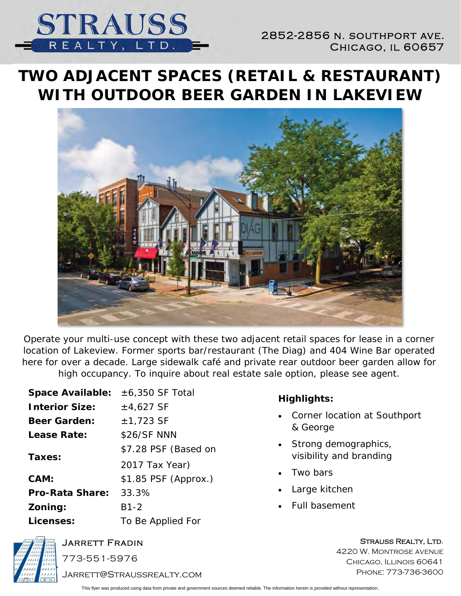

2852-2856 n. southport ave. Chicago, il 60657

# **TWO ADJACENT SPACES (RETAIL & RESTAURANT) WITH OUTDOOR BEER GARDEN IN LAKEVIEW**



Operate your multi-use concept with these two adjacent retail spaces for lease in a corner location of Lakeview. Former sports bar/restaurant (The Diag) and 404 Wine Bar operated here for over a decade. Large sidewalk café and private rear outdoor beer garden allow for high occupancy. *To inquire about real estate sale option, please see agent.*

| <b>Space Available:</b> | $\pm$ 6,350 SF Total  |
|-------------------------|-----------------------|
| <b>Interior Size:</b>   | $±4,627$ SF           |
| <b>Beer Garden:</b>     | $±1,723$ SF           |
| Lease Rate:             | \$26/SF NNN           |
| Taxes:                  | \$7.28 PSF (Based on  |
|                         | 2017 Tax Year)        |
| CAM:                    | $$1.85$ PSF (Approx.) |
| <b>Pro-Rata Share:</b>  | 33.3%                 |
| Zoning:                 | B1-2                  |
| Licenses:               | To Be Applied For     |

#### **Highlights:**

- Corner location at Southport & George
- Strong demographics, visibility and branding
- Two bars
- Large kitchen
- Full basement



Jarrett Fradin

773-551-5976

Jarrett@Straussrealty.com

STRAUSS REALTY, LTD. 4220 W. Montrose avenue CHICAGO, ILLINOIS 60641 Phone: 773-736-3600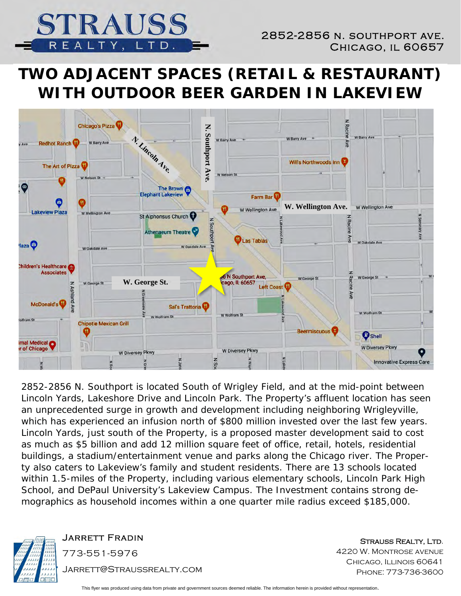

# **TWO ADJACENT SPACES (RETAIL & RESTAURANT) WITH OUTDOOR BEER GARDEN IN LAKEVIEW**



2852-2856 N. Southport is located South of Wrigley Field, and at the mid-point between Lincoln Yards, Lakeshore Drive and Lincoln Park. The Property's affluent location has seen an unprecedented surge in growth and development including neighboring Wrigleyville, which has experienced an infusion north of \$800 million invested over the last few years. Lincoln Yards, just south of the Property, is a proposed master development said to cost as much as \$5 billion and add 12 million square feet of office, retail, hotels, residential buildings, a stadium/entertainment venue and parks along the Chicago river. The Property also caters to Lakeview's family and student residents. There are 13 schools located within 1.5-miles of the Property, including various elementary schools, Lincoln Park High School, and DePaul University's Lakeview Campus. The Investment contains strong demographics as household incomes within a one quarter mile radius exceed \$185,000.



**JARRETT FRADIN** 773-551-5976

Jarrett@Straussrealty.com

STRAUSS REALTY, LTD. 4220 W. Montrose avenue CHICAGO, ILLINOIS 60641 Phone: 773-736-3600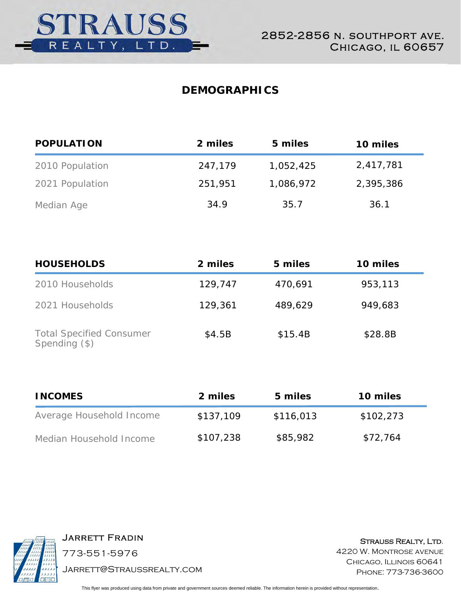

### **DEMOGRAPHICS**

| <b>POPULATION</b> | 2 miles | 5 miles   | 10 miles  |
|-------------------|---------|-----------|-----------|
| 2010 Population   | 247,179 | 1,052,425 | 2,417,781 |
| 2021 Population   | 251,951 | 1,086,972 | 2,395,386 |
| Median Age        | 34.9    | 35.7      | 36.1      |

| <b>HOUSEHOLDS</b>                                | 2 miles | 5 miles | 10 miles |
|--------------------------------------------------|---------|---------|----------|
| 2010 Households                                  | 129,747 | 470,691 | 953,113  |
| 2021 Households                                  | 129,361 | 489,629 | 949,683  |
| <b>Total Specified Consumer</b><br>Spending (\$) | \$4.5B  | \$15.4B | \$28.8B  |

| <b>INCOMES</b>           | 2 miles   | 5 miles   | 10 miles  |
|--------------------------|-----------|-----------|-----------|
| Average Household Income | \$137,109 | \$116,013 | \$102,273 |
| Median Household Income  | \$107,238 | \$85,982  | \$72,764  |



Jarrett Fradin 773-551-5976

Jarrett@Straussrealty.com

STRAUSS REALTY, LTD. 4220 W. Montrose avenue Chicago, Illinois 60641 Phone: 773-736-3600

This flyer was produced using data from private and government sources deemed reliable. The information herein is provided without representation.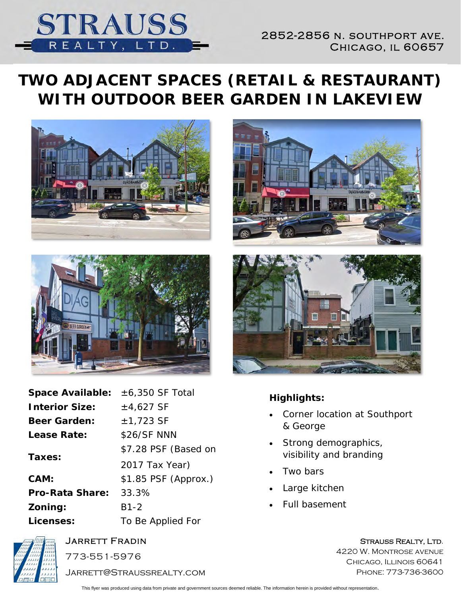

### 2852-2856 n. southport ave. Chicago, il 60657

# **TWO ADJACENT SPACES (RETAIL & RESTAURANT) WITH OUTDOOR BEER GARDEN IN LAKEVIEW**











#### **Highlights:**

- Corner location at Southport & George
- Strong demographics, visibility and branding
- Two bars
- Large kitchen
- Full basement

STRAUSS REALTY, LTD. 4220 W. Montrose avenue CHICAGO, ILLINOIS 60641 Phone: 773-736-3600

| 111                           | 1111 |
|-------------------------------|------|
| JJJJ.<br>JJ                   |      |
| 1111<br>111<br>$\overline{1}$ |      |
| 1111                          |      |
| 1111<br>JJJJ                  |      |
| <i>omo</i>                    |      |

Jarrett Fradin

773-551-5976

Jarrett@Straussrealty.com

This flyer was produced using data from private and government sources deemed reliable. The information herein is provided without representation.